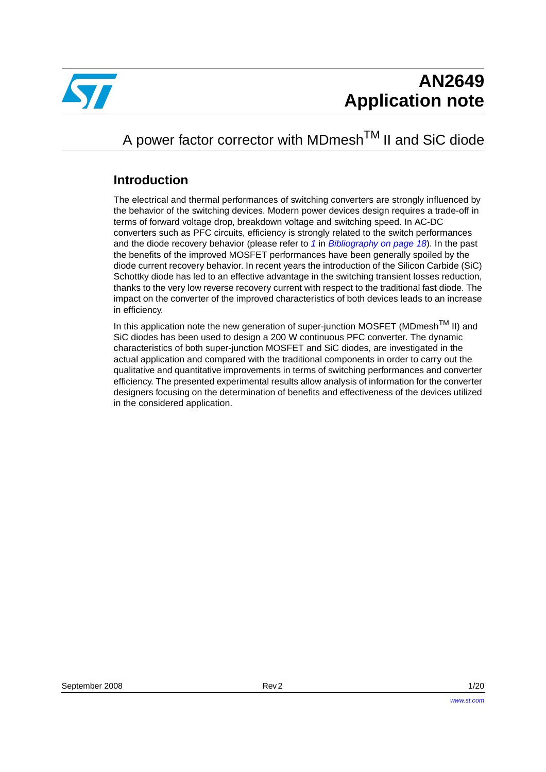

## A power factor corrector with MDmesh<sup>TM</sup> II and SiC diode

### **Introduction**

The electrical and thermal performances of switching converters are strongly influenced by the behavior of the switching devices. Modern power devices design requires a trade-off in terms of forward voltage drop, breakdown voltage and switching speed. In AC-DC converters such as PFC circuits, efficiency is strongly related to the switch performances and the diode recovery behavior (please refer to *[1](#page-17-0)* in *[Bibliography on page 18](#page-17-1)*). In the past the benefits of the improved MOSFET performances have been generally spoiled by the diode current recovery behavior. In recent years the introduction of the Silicon Carbide (SiC) Schottky diode has led to an effective advantage in the switching transient losses reduction, thanks to the very low reverse recovery current with respect to the traditional fast diode. The impact on the converter of the improved characteristics of both devices leads to an increase in efficiency.

In this application note the new generation of super-junction MOSFET (MDmesh<sup>TM</sup> II) and SiC diodes has been used to design a 200 W continuous PFC converter. The dynamic characteristics of both super-junction MOSFET and SiC diodes, are investigated in the actual application and compared with the traditional components in order to carry out the qualitative and quantitative improvements in terms of switching performances and converter efficiency. The presented experimental results allow analysis of information for the converter designers focusing on the determination of benefits and effectiveness of the devices utilized in the considered application.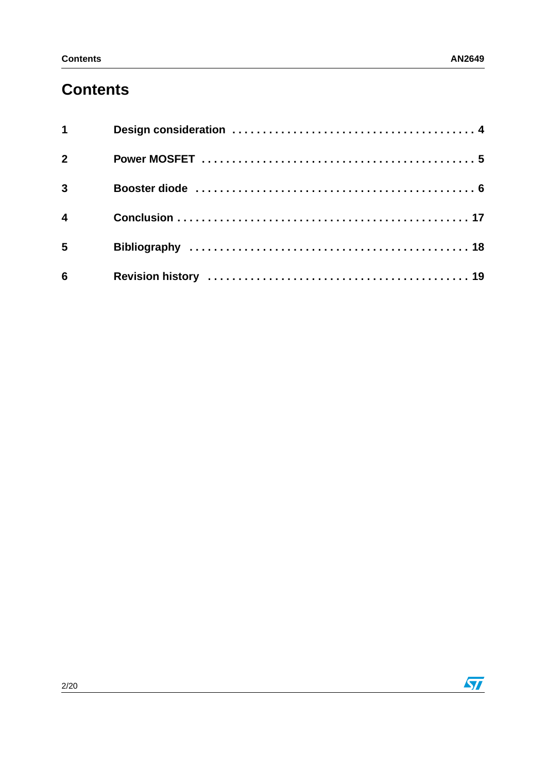## **Contents**

| $\overline{2}$          |  |
|-------------------------|--|
| $3^{\circ}$             |  |
| $\overline{\mathbf{4}}$ |  |
| 5 <sup>5</sup>          |  |
| $6\overline{6}$         |  |

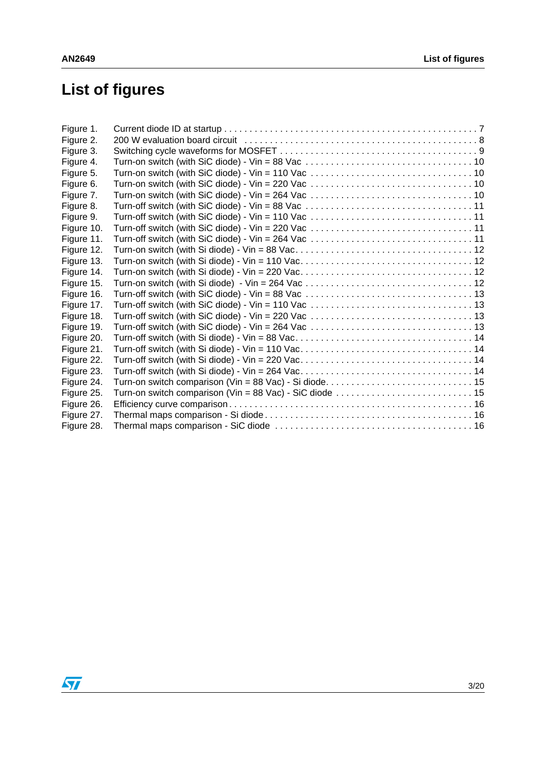# **List of figures**

| Figure 1.  |                                                                                                                                       |  |
|------------|---------------------------------------------------------------------------------------------------------------------------------------|--|
| Figure 2.  |                                                                                                                                       |  |
| Figure 3.  |                                                                                                                                       |  |
| Figure 4.  | Turn-on switch (with SiC diode) - Vin = 88 Vac $\ldots \ldots \ldots \ldots \ldots \ldots \ldots \ldots \ldots \ldots \ldots$         |  |
| Figure 5.  |                                                                                                                                       |  |
| Figure 6.  |                                                                                                                                       |  |
| Figure 7.  |                                                                                                                                       |  |
| Figure 8.  | Turn-off switch (with SiC diode) - Vin = 88 Vac $\ldots \ldots \ldots \ldots \ldots \ldots \ldots \ldots \ldots \ldots \ldots \ldots$ |  |
| Figure 9.  |                                                                                                                                       |  |
| Figure 10. |                                                                                                                                       |  |
| Figure 11. |                                                                                                                                       |  |
| Figure 12. |                                                                                                                                       |  |
| Figure 13. |                                                                                                                                       |  |
| Figure 14. |                                                                                                                                       |  |
| Figure 15. |                                                                                                                                       |  |
| Figure 16. | Turn-off switch (with SiC diode) - Vin = 88 Vac $\ldots \ldots \ldots \ldots \ldots \ldots \ldots \ldots \ldots \ldots \ldots$        |  |
| Figure 17. |                                                                                                                                       |  |
| Figure 18. |                                                                                                                                       |  |
| Figure 19. |                                                                                                                                       |  |
| Figure 20. |                                                                                                                                       |  |
| Figure 21. |                                                                                                                                       |  |
| Figure 22. |                                                                                                                                       |  |
| Figure 23. |                                                                                                                                       |  |
| Figure 24. |                                                                                                                                       |  |
| Figure 25. |                                                                                                                                       |  |
| Figure 26. |                                                                                                                                       |  |
| Figure 27. |                                                                                                                                       |  |
| Figure 28. |                                                                                                                                       |  |
|            |                                                                                                                                       |  |

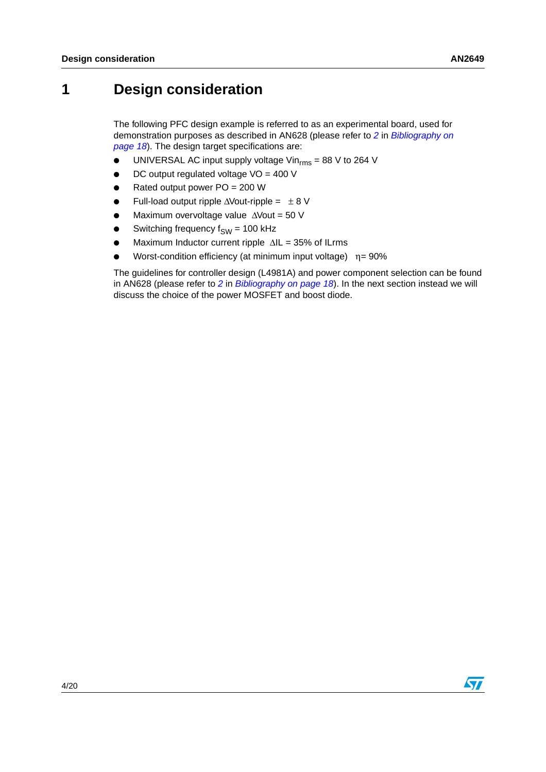## <span id="page-3-0"></span>**1 Design consideration**

The following PFC design example is referred to as an experimental board, used for demonstration purposes as described in AN628 (please refer to *[2](#page-17-2)* in *[Bibliography on](#page-17-1)  [page 18](#page-17-1)*). The design target specifications are:

- $\bullet$  UNIVERSAL AC input supply voltage Vin<sub>rms</sub> = 88 V to 264 V
- DC output regulated voltage  $VO = 400 V$
- Rated output power  $PO = 200 W$
- Full-load output ripple  $\triangle$ Vout-ripple =  $± 8$  V
- Maximum overvoltage value ∆Vout = 50 V
- Switching frequency  $f_{SW}$  = 100 kHz
- Maximum Inductor current ripple ∆IL = 35% of ILrms
- Worst-condition efficiency (at minimum input voltage)  $\eta = 90\%$

The guidelines for controller design (L4981A) and power component selection can be found in AN628 (please refer to *[2](#page-17-2)* in *[Bibliography on page 18](#page-17-1)*). In the next section instead we will discuss the choice of the power MOSFET and boost diode.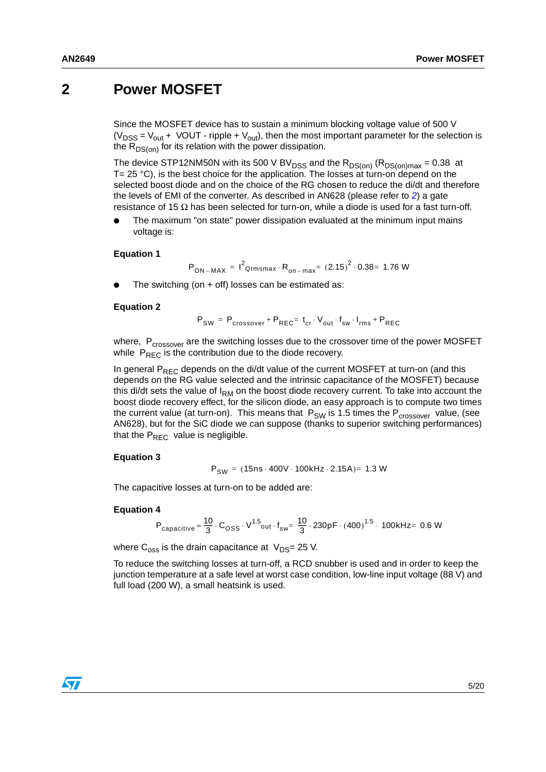### <span id="page-4-0"></span>**2 Power MOSFET**

Since the MOSFET device has to sustain a minimum blocking voltage value of 500 V ( $V_{DSS}$  =  $V_{out}$  + VOUT - ripple +  $V_{out}$ ), then the most important parameter for the selection is the  $R_{DS(on)}$  for its relation with the power dissipation.

The device STP12NM50N with its 500 V BV<sub>DSS</sub> and the  $R_{DS(on)}(R_{DS(on)max} = 0.38$  at  $T= 25 \degree C$ ), is the best choice for the application. The losses at turn-on depend on the selected boost diode and on the choice of the RG chosen to reduce the di/dt and therefore the levels of EMI of the converter. As described in AN628 (please refer to *[2](#page-17-2)*) a gate resistance of 15  $\Omega$  has been selected for turn-on, while a diode is used for a fast turn-off.

The maximum "on state" power dissipation evaluated at the minimum input mains voltage is:

#### **Equation 1**

$$
P_{ON-MAX} = I^2_{Qrmsmax} \cdot R_{on-max} = (2.15)^2 \cdot 0.38 = 1.76 W
$$

The switching (on  $+$  off) losses can be estimated as:

#### **Equation 2**

$$
\mathsf{P}_{\mathsf{SW}} \,=\, \mathsf{P}_{\mathsf{crossover}} + \mathsf{P}_{\mathsf{REC}} = \,t_{cr} \cdot V_{\mathsf{out}} \cdot f_{\mathsf{sw}} \cdot I_{\mathsf{rms}} + \mathsf{P}_{\mathsf{REC}}
$$

where, P<sub>crossover</sub> are the switching losses due to the crossover time of the power MOSFET while  $P_{REC}$  is the contribution due to the diode recovery.

In general  $P_{\text{REC}}$  depends on the di/dt value of the current MOSFET at turn-on (and this depends on the RG value selected and the intrinsic capacitance of the MOSFET) because this di/dt sets the value of  $I_{RM}$  on the boost diode recovery current. To take into account the boost diode recovery effect, for the silicon diode, an easy approach is to compute two times the current value (at turn-on). This means that  $P_{SW}$  is 1.5 times the  $P_{crossover}$  value, (see AN628), but for the SiC diode we can suppose (thanks to superior switching performances) that the  $P_{REC}$  value is negligible.

#### <span id="page-4-1"></span>**Equation 3**

$$
P_{SW} = (15 \text{ns} \cdot 400 \text{V} \cdot 100 \text{kHz} \cdot 2.15 \text{A}) = 1.3 \text{W}
$$

The capacitive losses at turn-on to be added are:

#### <span id="page-4-2"></span>**Equation 4**

$$
P_{\text{capacitive}} \approx \frac{10}{3} \cdot C_{\text{OSS}} \cdot V^{1.5}_{\text{out}} \cdot f_{\text{sw}} = \frac{10}{3} \cdot 230 \text{pF} \cdot (400)^{1.5} \cdot 100 \text{kHz} = 0.6 \text{ W}
$$

where  $C_{\text{oss}}$  is the drain capacitance at  $V_{\text{DS}}$ = 25 V.

To reduce the switching losses at turn-off, a RCD snubber is used and in order to keep the junction temperature at a safe level at worst case condition, low-line input voltage (88 V) and full load (200 W), a small heatsink is used.

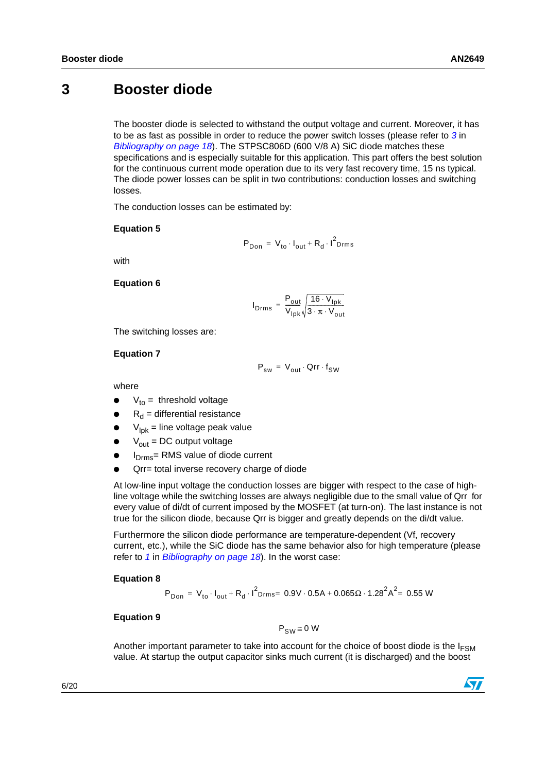### <span id="page-5-0"></span>**3 Booster diode**

The booster diode is selected to withstand the output voltage and current. Moreover, it has to be as fast as possible in order to reduce the power switch losses (please refer to *[3](#page-17-3)* in *[Bibliography on page 18](#page-17-1)*). The STPSC806D (600 V/8 A) SiC diode matches these specifications and is especially suitable for this application. This part offers the best solution for the continuous current mode operation due to its very fast recovery time, 15 ns typical. The diode power losses can be split in two contributions: conduction losses and switching losses.

The conduction losses can be estimated by:

#### **Equation 5**

$$
P_{Don} = V_{to} \cdot I_{out} + R_d \cdot I^2_{Drms}
$$

with

#### **Equation 6**

$$
I_{\text{Drms}} = \frac{P_{\text{out}}}{V_{\text{lpk}}} \sqrt{\frac{16 \cdot V_{\text{lpk}}}{3 \cdot \pi \cdot V_{\text{out}}}}
$$

The switching losses are:

#### **Equation 7**

$$
\mathsf{P}_{\mathsf{sw}} \,=\, \mathsf{V}_{\mathsf{out}} \cdot \mathsf{Qrr} \cdot \mathsf{f}_{\mathsf{SW}}
$$

where

- $V_{to}$  = threshold voltage
- $R_d$  = differential resistance
- $V_{\text{lnk}}$  = line voltage peak value
- $V_{\text{out}}$  = DC output voltage
- I<sub>Drms</sub>= RMS value of diode current
- Qrr= total inverse recovery charge of diode

At low-line input voltage the conduction losses are bigger with respect to the case of highline voltage while the switching losses are always negligible due to the small value of Qrr for every value of di/dt of current imposed by the MOSFET (at turn-on). The last instance is not true for the silicon diode, because Qrr is bigger and greatly depends on the di/dt value.

Furthermore the silicon diode performance are temperature-dependent (Vf, recovery current, etc.), while the SiC diode has the same behavior also for high temperature (please refer to *[1](#page-17-0)* in *[Bibliography on page 18](#page-17-1)*). In the worst case:

#### **Equation 8**

$$
P_{Don} = V_{to} \cdot I_{out} + R_d \cdot I^2_{Drms} = 0.9V \cdot 0.5A + 0.065 \Omega \cdot 1.28^2 A^2 = 0.55 W
$$

#### **Equation 9**

 $P_{\text{SM}} \equiv 0 \text{ W}$ 

Another important parameter to take into account for the choice of boost diode is the  $I_{FSM}$ value. At startup the output capacitor sinks much current (it is discharged) and the boost

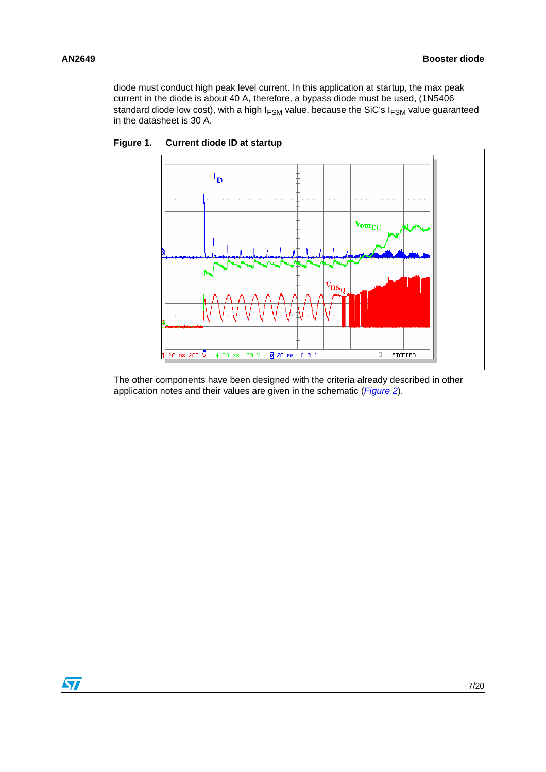diode must conduct high peak level current. In this application at startup, the max peak current in the diode is about 40 A, therefore, a bypass diode must be used, (1N5406 standard diode low cost), with a high  $I_{FSM}$  value, because the SiC's  $I_{FSM}$  value guaranteed in the datasheet is 30 A.



<span id="page-6-0"></span>**Figure 1. Current diode ID at startup**

The other components have been designed with the criteria already described in other application notes and their values are given in the schematic (*[Figure 2](#page-7-0)*).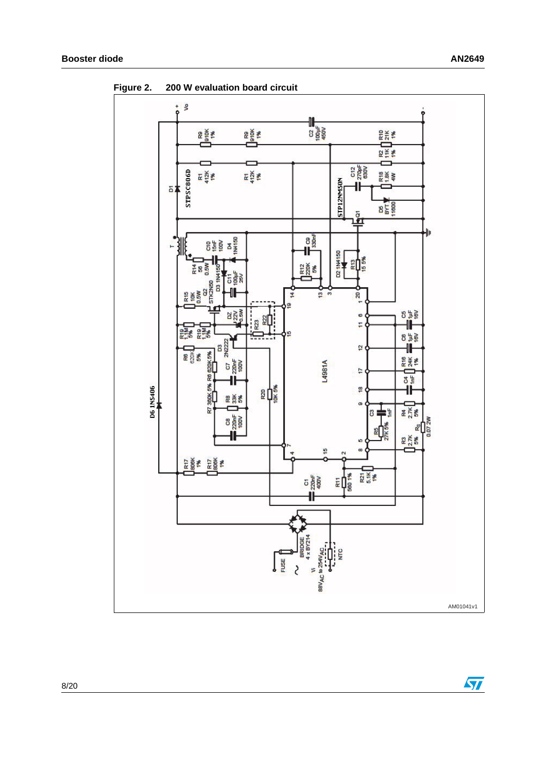

<span id="page-7-0"></span>**Figure 2. 200 W evaluation board circuit** 

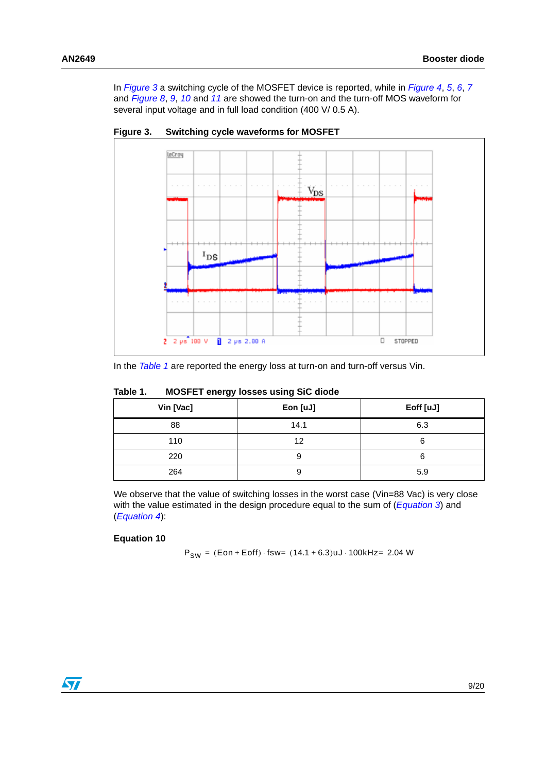In *[Figure 3](#page-8-0)* a switching cycle of the MOSFET device is reported, while in *[Figure 4](#page-9-0)*, *[5](#page-9-1)*, *[6](#page-9-2)*, *[7](#page-9-3)* and *[Figure 8](#page-10-0)*, *[9](#page-10-1)*, *[10](#page-10-2)* and *[11](#page-10-3)* are showed the turn-on and the turn-off MOS waveform for several input voltage and in full load condition (400 V/ 0.5 A).



<span id="page-8-0"></span>**Figure 3. Switching cycle waveforms for MOSFET**

In the *[Table 1](#page-8-1)* are reported the energy loss at turn-on and turn-off versus Vin.

| ັ<br>ັ    |          |           |  |  |  |
|-----------|----------|-----------|--|--|--|
| Vin [Vac] | Eon [uJ] | Eoff [uJ] |  |  |  |
| 88        | 14.1     | 6.3       |  |  |  |
| 110       | 12       | 6         |  |  |  |
| 220       | У        | 6         |  |  |  |
| 264       | У        | 5.9       |  |  |  |

### <span id="page-8-1"></span>**Table 1. MOSFET energy losses using SiC diode**

We observe that the value of switching losses in the worst case (Vin=88 Vac) is very close with the value estimated in the design procedure equal to the sum of (*[Equation 3](#page-4-1)*) and (*[Equation 4](#page-4-2)*):

#### **Equation 10**

 $P_{SW} = (Eon + Eoff) \cdot fsw = (14.1 + 6.3)uJ \cdot 100kHz = 2.04 W$ 

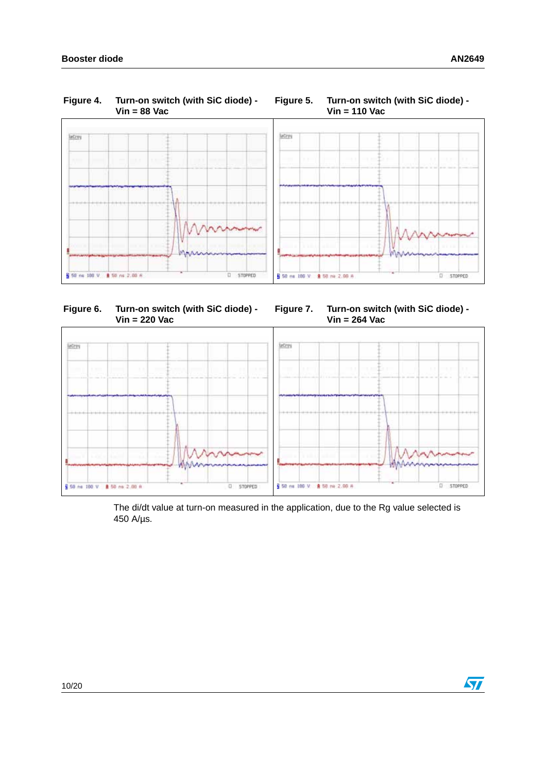<span id="page-9-0"></span>

<span id="page-9-2"></span>**Figure 6. Turn-on switch (with SiC diode) - Vin = 220 Vac**

<span id="page-9-3"></span><span id="page-9-1"></span>



The di/dt value at turn-on measured in the application, due to the Rg value selected is 450 A/µs.

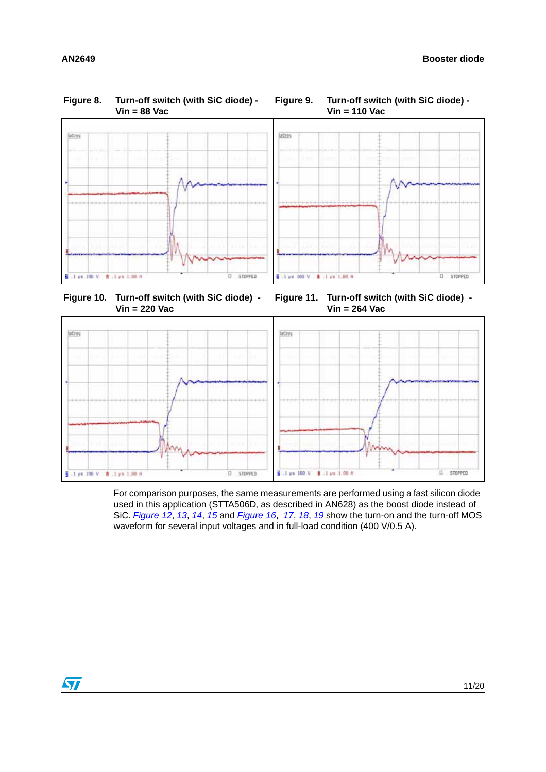<span id="page-10-0"></span>

<span id="page-10-2"></span>**Figure 10. Turn-off switch (with SiC diode) - Vin = 220 Vac**

<span id="page-10-3"></span><span id="page-10-1"></span>**Figure 11. Turn-off switch (with SiC diode) - Vin = 264 Vac**



For comparison purposes, the same measurements are performed using a fast silicon diode used in this application (STTA506D, as described in AN628) as the boost diode instead of SiC. *[Figure 12](#page-11-0)*, *[13](#page-11-1)*, *[14](#page-11-2)*, *[15](#page-11-3)* and *[Figure 16](#page-12-0)*, *[17](#page-12-1)*, *[18](#page-12-2)*, *[19](#page-12-3)* show the turn-on and the turn-off MOS waveform for several input voltages and in full-load condition (400 V/0.5 A).

 $\sqrt{27}$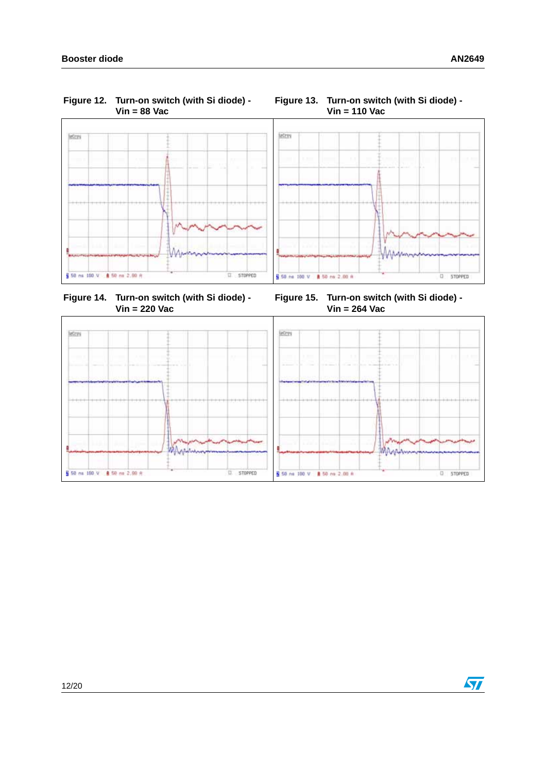<span id="page-11-0"></span>**Figure 12. Turn-on switch (with Si diode) - Vin = 88 Vac**



#### <span id="page-11-1"></span>**Figure 13. Turn-on switch (with Si diode) - Vin = 110 Vac**



<span id="page-11-2"></span>**Figure 14. Turn-on switch (with Si diode) - Vin = 220 Vac**

<span id="page-11-3"></span>**Figure 15. Turn-on switch (with Si diode) - Vin = 264 Vac**

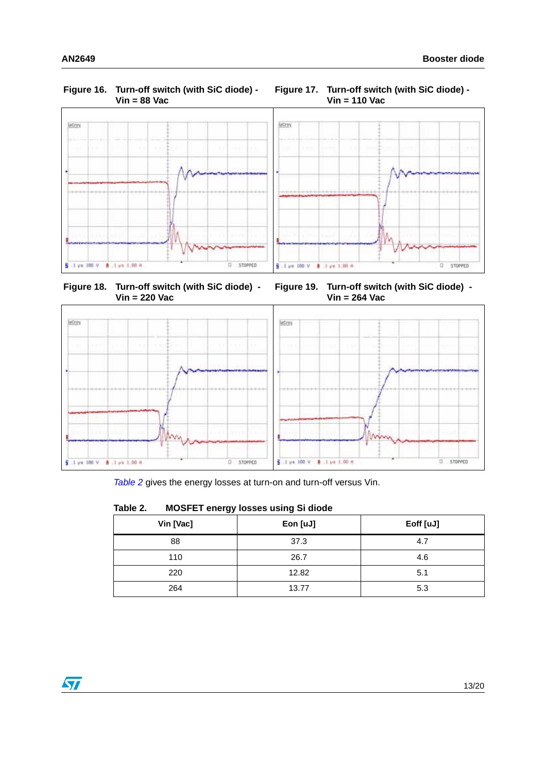#### <span id="page-12-0"></span>**Figure 16. Turn-off switch (with SiC diode) - Vin = 88 Vac**



<span id="page-12-1"></span>**Figure 17. Turn-off switch (with SiC diode) - Vin = 110 Vac**



<span id="page-12-2"></span>**Figure 18. Turn-off switch (with SiC diode) - Vin = 220 Vac**

<span id="page-12-3"></span>**Figure 19. Turn-off switch (with SiC diode) - Vin = 264 Vac**





### <span id="page-12-4"></span>**Table 2. MOSFET energy losses using Si diode**

| Vin [Vac] | Eon [uJ] | Eoff [uJ] |
|-----------|----------|-----------|
| 88        | 37.3     | 4.7       |
| 110       | 26.7     | 4.6       |
| 220       | 12.82    | 5.1       |
| 264       | 13.77    | 5.3       |

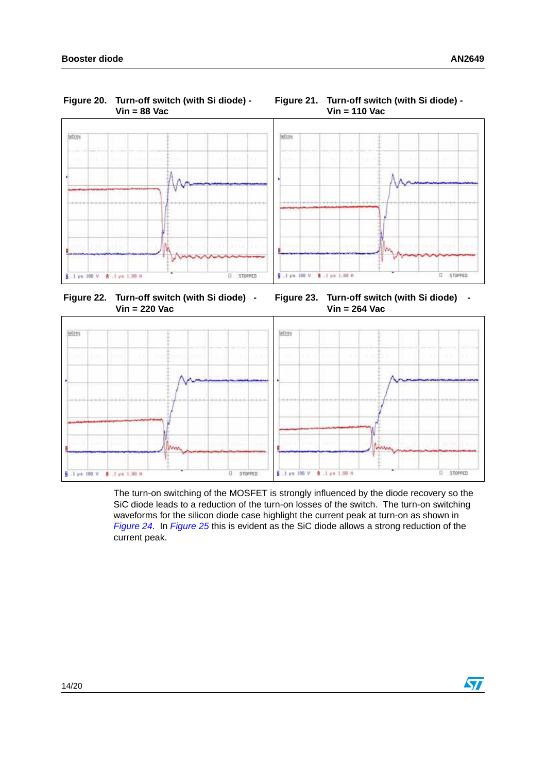<span id="page-13-0"></span>

#### <span id="page-13-1"></span>**Figure 21. Turn-off switch (with Si diode) - Vin = 110 Vac**



<span id="page-13-2"></span>**Figure 22. Turn-off switch (with Si diode) - Vin = 220 Vac**

<span id="page-13-3"></span>**Figure 23. Turn-off switch (with Si diode) - Vin = 264 Vac**



The turn-on switching of the MOSFET is strongly influenced by the diode recovery so the SiC diode leads to a reduction of the turn-on losses of the switch. The turn-on switching waveforms for the silicon diode case highlight the current peak at turn-on as shown in *[Figure 24](#page-14-0)*. In *[Figure 25](#page-14-1)* this is evident as the SiC diode allows a strong reduction of the current peak.

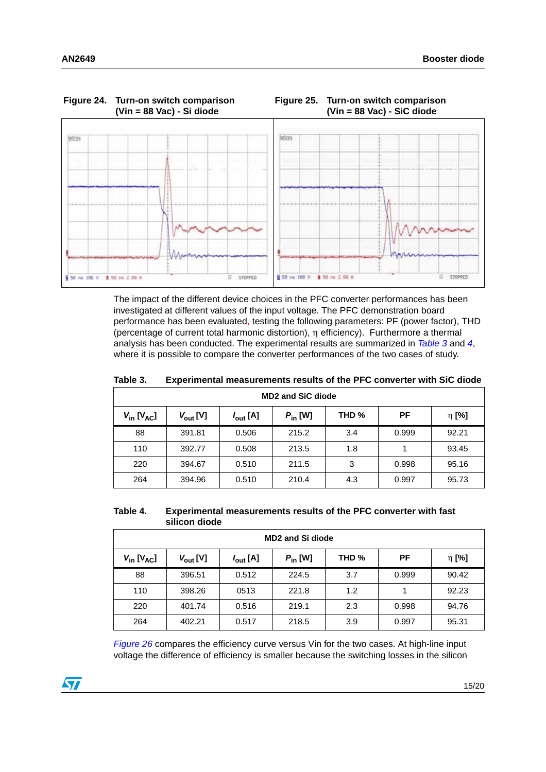<span id="page-14-1"></span>

<span id="page-14-0"></span>

The impact of the different device choices in the PFC converter performances has been investigated at different values of the input voltage. The PFC demonstration board performance has been evaluated, testing the following parameters: PF (power factor), THD (percentage of current total harmonic distortion), η efficiency). Furthermore a thermal analysis has been conducted. The experimental results are summarized in *[Table 3](#page-14-2)* and *[4](#page-14-3)*, where it is possible to compare the converter performances of the two cases of study.

| <b>MD2 and SiC diode</b> |                      |                      |                     |                  |       |       |
|--------------------------|----------------------|----------------------|---------------------|------------------|-------|-------|
| $V_{in}$ [ $V_{AC}$ ]    | $V_{\text{out}}$ [V] | $I_{\text{out}}$ [A] | $P_{\text{in}}$ [W] | THD <sub>%</sub> | PF    | η [%] |
| 88                       | 391.81               | 0.506                | 215.2               | 3.4              | 0.999 | 92.21 |
| 110                      | 392.77               | 0.508                | 213.5               | 1.8              |       | 93.45 |
| 220                      | 394.67               | 0.510                | 211.5               | 3                | 0.998 | 95.16 |
| 264                      | 394.96               | 0.510                | 210.4               | 4.3              | 0.997 | 95.73 |

<span id="page-14-2"></span>**Table 3. Experimental measurements results of the PFC converter with SiC diode**

<span id="page-14-3"></span>

| Table 4. | Experimental measurements results of the PFC converter with fast |
|----------|------------------------------------------------------------------|
|          | silicon diode                                                    |

| <b>MD2 and Si diode</b> |                      |                      |                     |                  |       |       |
|-------------------------|----------------------|----------------------|---------------------|------------------|-------|-------|
| $V_{in}$ [ $V_{AC}$ ]   | $V_{\text{out}}$ [V] | $I_{\text{out}}$ [A] | $P_{\text{in}}$ [W] | THD <sub>%</sub> | РF    | η [%] |
| 88                      | 396.51               | 0.512                | 224.5               | 3.7              | 0.999 | 90.42 |
| 110                     | 398.26               | 0513                 | 221.8               | 1.2              |       | 92.23 |
| 220                     | 401.74               | 0.516                | 219.1               | 2.3              | 0.998 | 94.76 |
| 264                     | 402.21               | 0.517                | 218.5               | 3.9              | 0.997 | 95.31 |

*[Figure 26](#page-15-0)* compares the efficiency curve versus Vin for the two cases. At high-line input voltage the difference of efficiency is smaller because the switching losses in the silicon

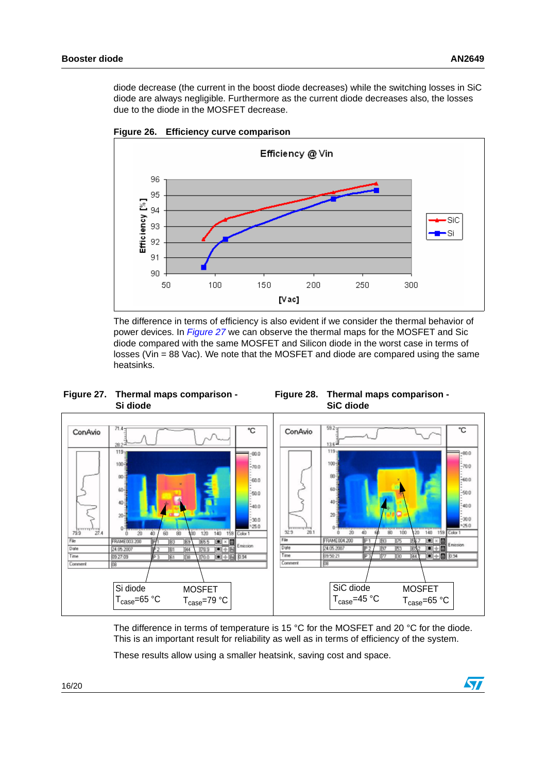diode decrease (the current in the boost diode decreases) while the switching losses in SiC diode are always negligible. Furthermore as the current diode decreases also, the losses due to the diode in the MOSFET decrease.



<span id="page-15-0"></span>**Figure 26. Efficiency curve comparison**

The difference in terms of efficiency is also evident if we consider the thermal behavior of power devices. In *[Figure 27](#page-15-1)* we can observe the thermal maps for the MOSFET and Sic diode compared with the same MOSFET and Silicon diode in the worst case in terms of losses (Vin = 88 Vac). We note that the MOSFET and diode are compared using the same heatsinks.

<span id="page-15-1"></span>**Figure 27. Thermal maps comparison - Si diode**

<span id="page-15-2"></span>



The difference in terms of temperature is 15 °C for the MOSFET and 20 °C for the diode. This is an important result for reliability as well as in terms of efficiency of the system.

These results allow using a smaller heatsink, saving cost and space.

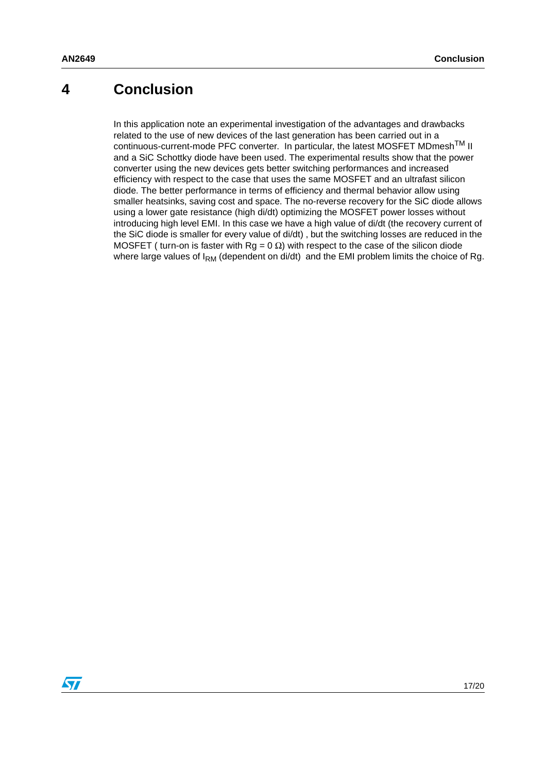## <span id="page-16-0"></span>**4 Conclusion**

In this application note an experimental investigation of the advantages and drawbacks related to the use of new devices of the last generation has been carried out in a continuous-current-mode PFC converter. In particular, the latest MOSFET MDmesh<sup>TM</sup> II and a SiC Schottky diode have been used. The experimental results show that the power converter using the new devices gets better switching performances and increased efficiency with respect to the case that uses the same MOSFET and an ultrafast silicon diode. The better performance in terms of efficiency and thermal behavior allow using smaller heatsinks, saving cost and space. The no-reverse recovery for the SiC diode allows using a lower gate resistance (high di/dt) optimizing the MOSFET power losses without introducing high level EMI. In this case we have a high value of di/dt (the recovery current of the SiC diode is smaller for every value of di/dt) , but the switching losses are reduced in the MOSFET ( turn-on is faster with  $Rg = 0 \Omega$ ) with respect to the case of the silicon diode where large values of  $I_{RM}$  (dependent on di/dt) and the EMI problem limits the choice of Rg.

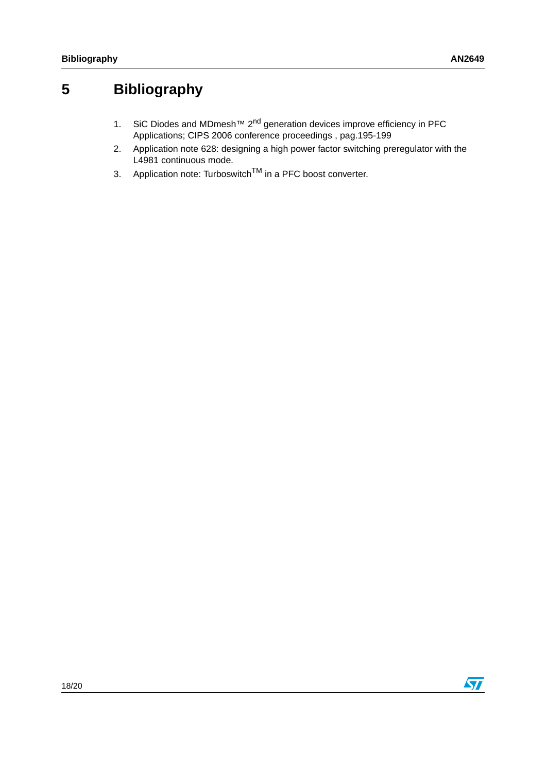## <span id="page-17-1"></span>**5 Bibliography**

- <span id="page-17-0"></span>1. SiC Diodes and MDmesh<sup>™</sup> 2<sup>nd</sup> generation devices improve efficiency in PFC Applications; CIPS 2006 conference proceedings , pag.195-199
- <span id="page-17-2"></span>2. Application note 628: designing a high power factor switching preregulator with the L4981 continuous mode.
- <span id="page-17-3"></span>3. Application note: Turboswitch<sup>TM</sup> in a PFC boost converter.

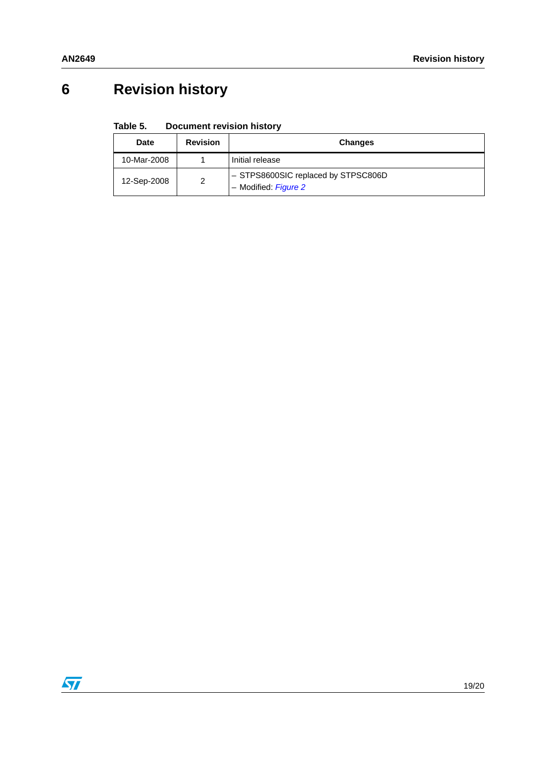# <span id="page-18-0"></span>**6 Revision history**

#### Table 5. **Document revision history**

| <b>Date</b> | <b>Revision</b> | <b>Changes</b>                                              |
|-------------|-----------------|-------------------------------------------------------------|
| 10-Mar-2008 |                 | Initial release                                             |
| 12-Sep-2008 | 2               | - STPS8600SIC replaced by STPSC806D<br>- Modified: Figure 2 |